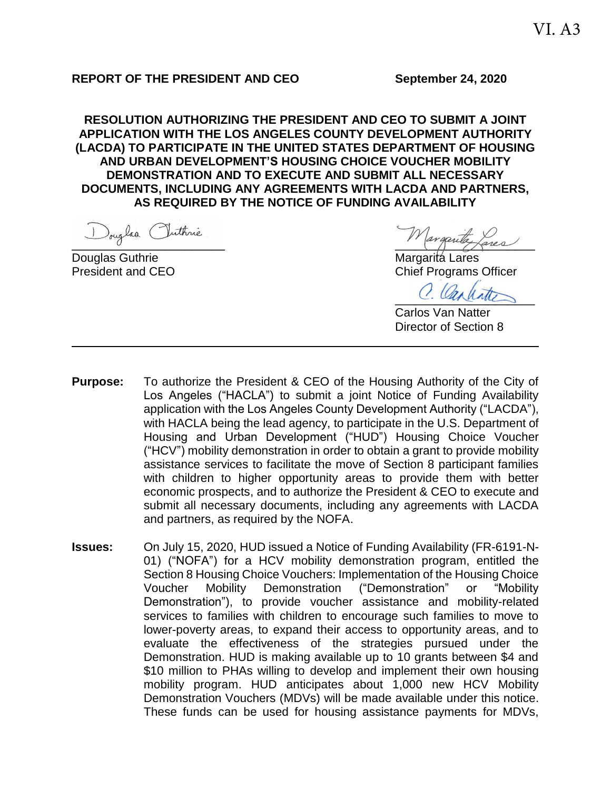#### **REPORT OF THE PRESIDENT AND CEO September 24, 2020**

**RESOLUTION AUTHORIZING THE PRESIDENT AND CEO TO SUBMIT A JOINT APPLICATION WITH THE LOS ANGELES COUNTY DEVELOPMENT AUTHORITY (LACDA) TO PARTICIPATE IN THE UNITED STATES DEPARTMENT OF HOUSING AND URBAN DEVELOPMENT'S HOUSING CHOICE VOUCHER MOBILITY DEMONSTRATION AND TO EXECUTE AND SUBMIT ALL NECESSARY DOCUMENTS, INCLUDING ANY AGREEMENTS WITH LACDA AND PARTNERS, AS REQUIRED BY THE NOTICE OF FUNDING AVAILABILITY**

Douglas Guthrie Margarita Lares

 $\cdot$  0

President and CEO **Chief Programs Officer** 

C. Carlister

Carlos Van Natter Director of Section 8

- **Purpose:** To authorize the President & CEO of the Housing Authority of the City of Los Angeles ("HACLA") to submit a joint Notice of Funding Availability application with the Los Angeles County Development Authority ("LACDA"), with HACLA being the lead agency, to participate in the U.S. Department of Housing and Urban Development ("HUD") Housing Choice Voucher ("HCV") mobility demonstration in order to obtain a grant to provide mobility assistance services to facilitate the move of Section 8 participant families with children to higher opportunity areas to provide them with better economic prospects, and to authorize the President & CEO to execute and submit all necessary documents, including any agreements with LACDA and partners, as required by the NOFA.
- **Issues:** On July 15, 2020, HUD issued a Notice of Funding Availability (FR-6191-N-01) ("NOFA") for a HCV mobility demonstration program, entitled the Section 8 Housing Choice Vouchers: Implementation of the Housing Choice Voucher Mobility Demonstration ("Demonstration" or "Mobility Demonstration"), to provide voucher assistance and mobility-related services to families with children to encourage such families to move to lower-poverty areas, to expand their access to opportunity areas, and to evaluate the effectiveness of the strategies pursued under the Demonstration. HUD is making available up to 10 grants between \$4 and \$10 million to PHAs willing to develop and implement their own housing mobility program. HUD anticipates about 1,000 new HCV Mobility Demonstration Vouchers (MDVs) will be made available under this notice. These funds can be used for housing assistance payments for MDVs,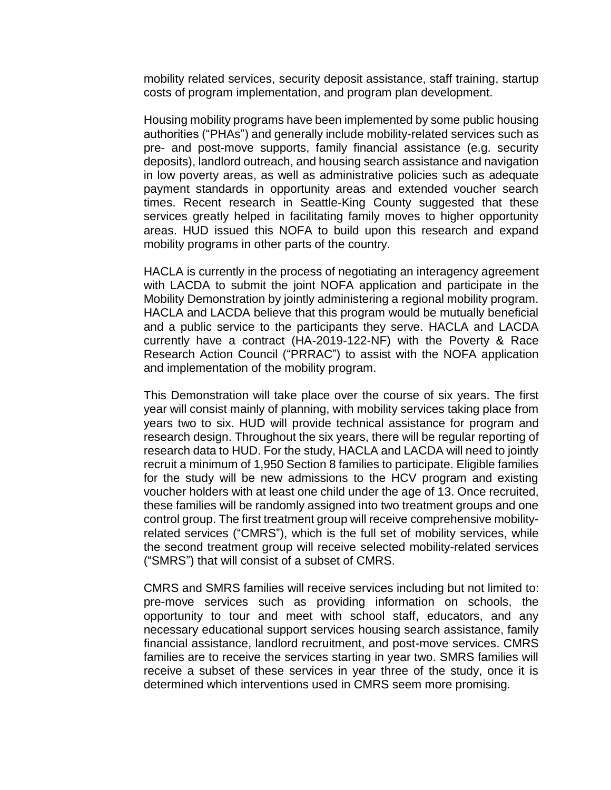mobility related services, security deposit assistance, staff training, startup costs of program implementation, and program plan development.

Housing mobility programs have been implemented by some public housing authorities ("PHAs") and generally include mobility-related services such as pre- and post-move supports, family financial assistance (e.g. security deposits), landlord outreach, and housing search assistance and navigation in low poverty areas, as well as administrative policies such as adequate payment standards in opportunity areas and extended voucher search times. Recent research in Seattle-King County suggested that these services greatly helped in facilitating family moves to higher opportunity areas. HUD issued this NOFA to build upon this research and expand mobility programs in other parts of the country.

HACLA is currently in the process of negotiating an interagency agreement with LACDA to submit the joint NOFA application and participate in the Mobility Demonstration by jointly administering a regional mobility program. HACLA and LACDA believe that this program would be mutually beneficial and a public service to the participants they serve. HACLA and LACDA currently have a contract (HA-2019-122-NF) with the Poverty & Race Research Action Council ("PRRAC") to assist with the NOFA application and implementation of the mobility program.

This Demonstration will take place over the course of six years. The first year will consist mainly of planning, with mobility services taking place from years two to six. HUD will provide technical assistance for program and research design. Throughout the six years, there will be regular reporting of research data to HUD. For the study, HACLA and LACDA will need to jointly recruit a minimum of 1,950 Section 8 families to participate. Eligible families for the study will be new admissions to the HCV program and existing voucher holders with at least one child under the age of 13. Once recruited, these families will be randomly assigned into two treatment groups and one control group. The first treatment group will receive comprehensive mobilityrelated services ("CMRS"), which is the full set of mobility services, while the second treatment group will receive selected mobility-related services ("SMRS") that will consist of a subset of CMRS.

CMRS and SMRS families will receive services including but not limited to: pre-move services such as providing information on schools, the opportunity to tour and meet with school staff, educators, and any necessary educational support services housing search assistance, family financial assistance, landlord recruitment, and post-move services. CMRS families are to receive the services starting in year two. SMRS families will receive a subset of these services in year three of the study, once it is determined which interventions used in CMRS seem more promising.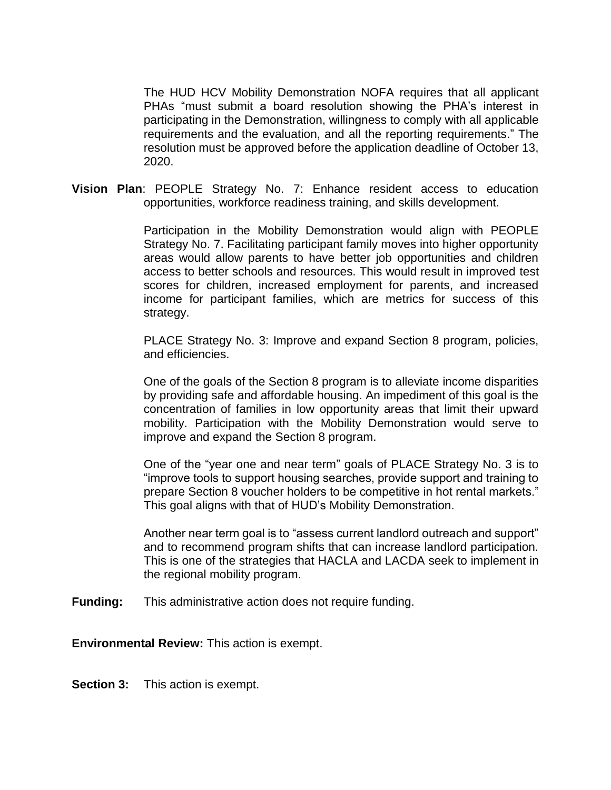The HUD HCV Mobility Demonstration NOFA requires that all applicant PHAs "must submit a board resolution showing the PHA's interest in participating in the Demonstration, willingness to comply with all applicable requirements and the evaluation, and all the reporting requirements." The resolution must be approved before the application deadline of October 13, 2020.

**Vision Plan**: PEOPLE Strategy No. 7: Enhance resident access to education opportunities, workforce readiness training, and skills development.

> Participation in the Mobility Demonstration would align with PEOPLE Strategy No. 7. Facilitating participant family moves into higher opportunity areas would allow parents to have better job opportunities and children access to better schools and resources. This would result in improved test scores for children, increased employment for parents, and increased income for participant families, which are metrics for success of this strategy.

> PLACE Strategy No. 3: Improve and expand Section 8 program, policies, and efficiencies.

> One of the goals of the Section 8 program is to alleviate income disparities by providing safe and affordable housing. An impediment of this goal is the concentration of families in low opportunity areas that limit their upward mobility. Participation with the Mobility Demonstration would serve to improve and expand the Section 8 program.

> One of the "year one and near term" goals of PLACE Strategy No. 3 is to "improve tools to support housing searches, provide support and training to prepare Section 8 voucher holders to be competitive in hot rental markets." This goal aligns with that of HUD's Mobility Demonstration.

> Another near term goal is to "assess current landlord outreach and support" and to recommend program shifts that can increase landlord participation. This is one of the strategies that HACLA and LACDA seek to implement in the regional mobility program.

**Funding:** This administrative action does not require funding.

**Environmental Review:** This action is exempt.

**Section 3:** This action is exempt.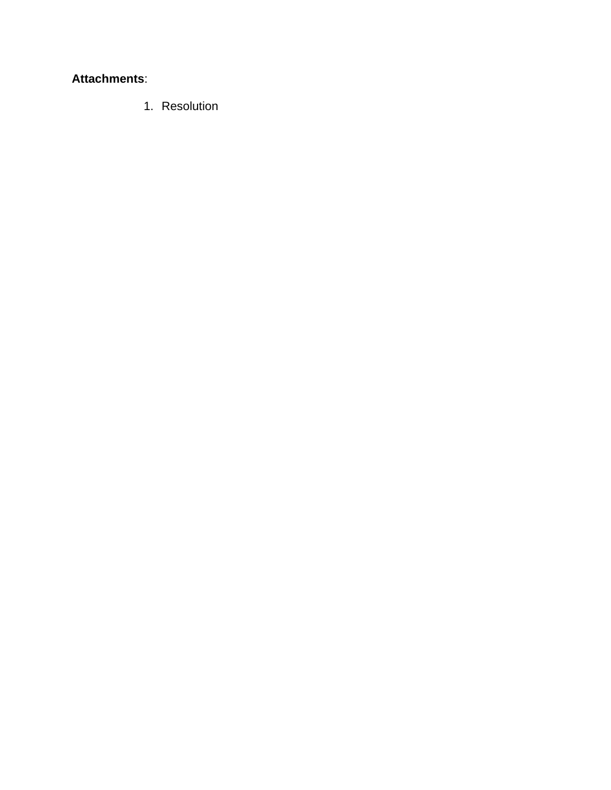## **Attachments**:

1. Resolution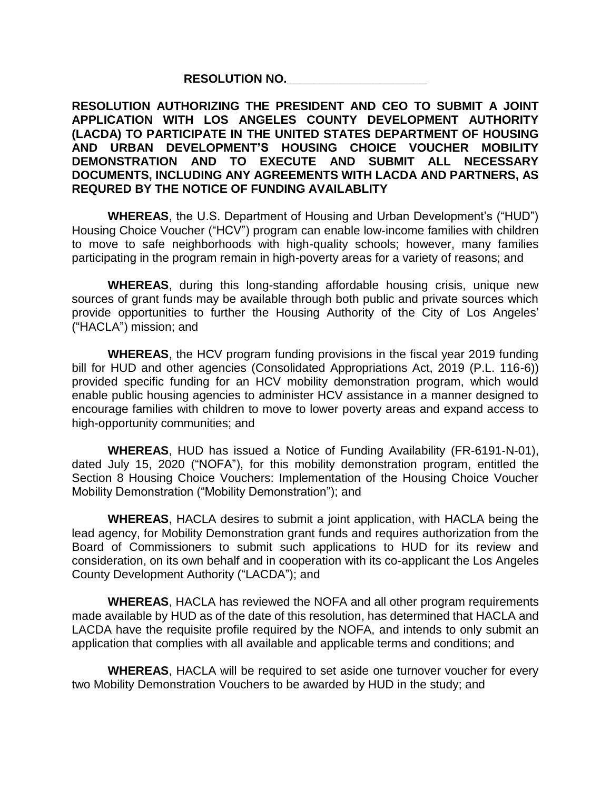### **RESOLUTION NO.\_\_\_\_\_\_\_\_\_\_\_\_\_\_\_\_\_\_\_\_\_**

#### **RESOLUTION AUTHORIZING THE PRESIDENT AND CEO TO SUBMIT A JOINT APPLICATION WITH LOS ANGELES COUNTY DEVELOPMENT AUTHORITY (LACDA) TO PARTICIPATE IN THE UNITED STATES DEPARTMENT OF HOUSING AND URBAN DEVELOPMENT'S HOUSING CHOICE VOUCHER MOBILITY DEMONSTRATION AND TO EXECUTE AND SUBMIT ALL NECESSARY DOCUMENTS, INCLUDING ANY AGREEMENTS WITH LACDA AND PARTNERS, AS REQURED BY THE NOTICE OF FUNDING AVAILABLITY**

**WHEREAS**, the U.S. Department of Housing and Urban Development's ("HUD") Housing Choice Voucher ("HCV") program can enable low-income families with children to move to safe neighborhoods with high-quality schools; however, many families participating in the program remain in high-poverty areas for a variety of reasons; and

**WHEREAS**, during this long-standing affordable housing crisis, unique new sources of grant funds may be available through both public and private sources which provide opportunities to further the Housing Authority of the City of Los Angeles' ("HACLA") mission; and

**WHEREAS**, the HCV program funding provisions in the fiscal year 2019 funding bill for HUD and other agencies (Consolidated Appropriations Act, 2019 (P.L. 116-6)) provided specific funding for an HCV mobility demonstration program, which would enable public housing agencies to administer HCV assistance in a manner designed to encourage families with children to move to lower poverty areas and expand access to high-opportunity communities; and

**WHEREAS**, HUD has issued a Notice of Funding Availability (FR-6191-N-01), dated July 15, 2020 ("NOFA"), for this mobility demonstration program, entitled the Section 8 Housing Choice Vouchers: Implementation of the Housing Choice Voucher Mobility Demonstration ("Mobility Demonstration"); and

**WHEREAS**, HACLA desires to submit a joint application, with HACLA being the lead agency, for Mobility Demonstration grant funds and requires authorization from the Board of Commissioners to submit such applications to HUD for its review and consideration, on its own behalf and in cooperation with its co-applicant the Los Angeles County Development Authority ("LACDA"); and

**WHEREAS**, HACLA has reviewed the NOFA and all other program requirements made available by HUD as of the date of this resolution, has determined that HACLA and LACDA have the requisite profile required by the NOFA, and intends to only submit an application that complies with all available and applicable terms and conditions; and

**WHEREAS**, HACLA will be required to set aside one turnover voucher for every two Mobility Demonstration Vouchers to be awarded by HUD in the study; and